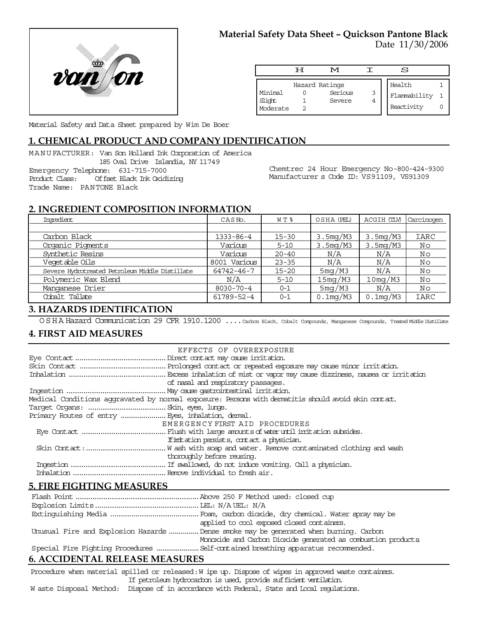

# **Material Safety Data Sheet – Quickson Pantone Black**

Date 11/30/2006

|                               | ਸ | M                                   |        | S                                    |  |
|-------------------------------|---|-------------------------------------|--------|--------------------------------------|--|
| Minimal<br>Slight<br>Moderate |   | Hazard Ratings<br>Serious<br>Severe | 3<br>4 | Health<br>Flammability<br>Reactivity |  |

Material Safety and Data Sheet prepared by Wim De Boer

# **1. CHEMICAL PRODUCT AND COMPANY IDENTIFICATION**

MANUFACTURER: Van Son Holland Ink Corporation of America 185 Oval Drive Islandia, NY 11749 Emergency Telephone: 631-715-7000 Product Class: Offset Black Ink Oxidizing

Chemtrec 24 Hour Emergency No-800-424-9300 Manufacturer s Code ID: VS91109, VS91309

## **2. INGREDIENT COMPOSITION INFORMATION**

| Imredient                                       | CASN <sub>o</sub> . | W T %     | OSHA (PEL)  | ACGIH (TLV) | Carcinogen |
|-------------------------------------------------|---------------------|-----------|-------------|-------------|------------|
|                                                 |                     |           |             |             |            |
| Carbon Black                                    | 1333-86-4           | $15 - 30$ | 3.5mg/M3    | 3.5mg/M3    | IARC       |
| Organic Pigments                                | Various             | $5 - 10$  | 3.5mg/M3    | 3.5mg/M3    | Νo         |
| Synthetic Resins                                | Various             | $20 - 40$ | N/A         | N/A         | Νo         |
| Veqetable Oils                                  | 8001 Various        | $23 - 35$ | N/A         | N/A         | Νo         |
| Severe Hydrotreated Petroleum Middle Distillate | 64742-46-7          | $15 - 20$ | 5mg/M3      | N/A         | Νo         |
| Polymeric Wax Blend                             | N/A                 | $5 - 10$  | 15mg/M3     | 10mg/M3     | Νo         |
| Manganese Drier                                 | $8030 - 70 - 4$     | $0 - 1$   | 5mg/M3      | N/A         | Νo         |
| Cobalt Tallate                                  | 61789-52-4          | $0 - 1$   | $0.1$ mg/M3 | $0.1$ mg/M3 | IARC       |

## **3. HAZARDS IDENTIFICATION**

OSHA Hazard Communication 29 CFR 1910.1200 ....Carbon Black, Cobalt Compounds, Manganese Compounds, Treated Middle Distillate

#### **4. FIRST AID MEASURES**

Trade Name: PANTONE Black

| EFFECTS OF OVEREXPOSURE                                                                            |  |
|----------------------------------------------------------------------------------------------------|--|
|                                                                                                    |  |
|                                                                                                    |  |
|                                                                                                    |  |
| of nasal and respiratory passages.                                                                 |  |
|                                                                                                    |  |
| Medical Conditions aggravated by normal exposure: Persons with dematitis should avoid skin contat. |  |
|                                                                                                    |  |
| Primary Routes of entry  Eyes, inhalation, demal.                                                  |  |
| EMERGENCY FIRST AID PROCEDURES                                                                     |  |
|                                                                                                    |  |
| If initiation persists, contact a physician.                                                       |  |
|                                                                                                    |  |
| thoroughly before reusing.                                                                         |  |
|                                                                                                    |  |
|                                                                                                    |  |
|                                                                                                    |  |

#### **5. FIRE FIGHTING MEASURES**

| applied to cool exposed closed containers.                                            |
|---------------------------------------------------------------------------------------|
| Unusual Fire and Explosion Hazards  Dense smoke may be generated when burning. Carbon |
| Monoxide and Carbon Dioxide generated as combustion products                          |
|                                                                                       |

## **6. ACCIDENTAL RELEASE MEASURES**

Procedure when material spilled or released: W ipe up. Dispose of wipes in approved waste containers. If petroleum hydrocarbon is used, provide sufficient ventilation.

W aste Disposal Method: Dispose of in accordance with Federal, State and Local regulations.